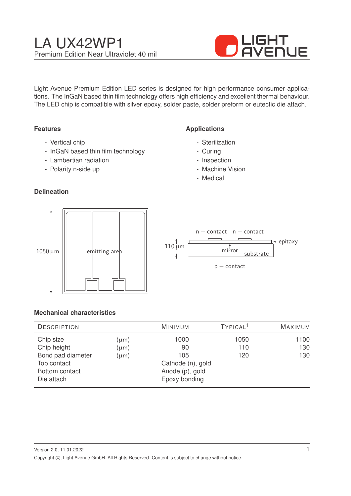

Light Avenue Premium Edition LED series is designed for high performance consumer applications. The InGaN based thin film technology offers high efficiency and excellent thermal behaviour. The LED chip is compatible with silver epoxy, solder paste, solder preform or eutectic die attach.

# **Features**

- Vertical chip
- InGaN based thin film technology
- Lambertian radiation
- Polarity n-side up

# **Delineation**

# **Applications**

- Sterilization
- Curing
- Inspection
- Machine Vision
- Medical



|             | $n$ – contact $n$ – contact<br>←epitaxy |
|-------------|-----------------------------------------|
| $110 \mu m$ | mirror<br>substrate                     |
|             | $p$ – contact                           |

### **Mechanical characteristics**

| <b>DESCRIPTION</b> |           | <b>MINIMUM</b>    | TYPICAL <sup>1</sup> | <b>MAXIMUM</b> |
|--------------------|-----------|-------------------|----------------------|----------------|
| Chip size          | $(\mu m)$ | 1000              | 1050                 | 1100           |
| Chip height        | $(\mu m)$ | 90                | 110                  | 130            |
| Bond pad diameter  | $(\mu m)$ | 105               | 120                  | 130            |
| Top contact        |           | Cathode (n), gold |                      |                |
| Bottom contact     |           | Anode (p), gold   |                      |                |
| Die attach         |           | Epoxy bonding     |                      |                |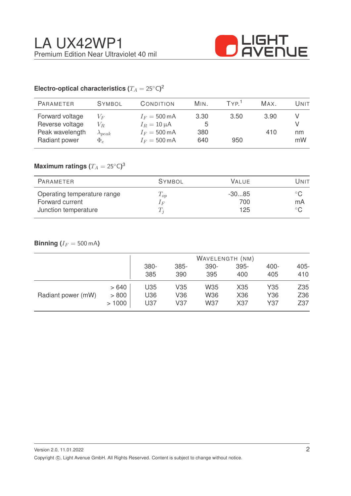

# Electro-optical characteristics ( $T_A = 25^{\circ} \text{C}$ )<sup>2</sup>

| <b>PARAMETER</b>                                                       | <b>SYMBOL</b>                                  | CONDITION                                                                                      | MIN.                    | TYP <sup>1</sup> | MAX.        | Unit     |
|------------------------------------------------------------------------|------------------------------------------------|------------------------------------------------------------------------------------------------|-------------------------|------------------|-------------|----------|
| Forward voltage<br>Reverse voltage<br>Peak wavelength<br>Radiant power | $V_F$<br>$V_R$<br>$\lambda_{peak}$<br>$\Phi_e$ | $I_F = 500 \text{ mA}$<br>$I_R = 10 \mu A$<br>$I_F = 500 \text{ mA}$<br>$I_F = 500 \text{ mA}$ | 3.30<br>5<br>380<br>640 | 3.50<br>950      | 3.90<br>410 | nm<br>mW |
|                                                                        |                                                |                                                                                                |                         |                  |             |          |

# $\mathsf{Maximum}$  ratings  $(T_A = 25^{\circ} \mathsf{C})^3$

| PARAMETER                                                              | <b>SYMBOL</b>                | <b>VALUE</b>          | Unit               |
|------------------------------------------------------------------------|------------------------------|-----------------------|--------------------|
| Operating temperature range<br>Forward current<br>Junction temperature | $T_{op}$<br>1 F<br>$\perp_i$ | $-3085$<br>700<br>125 | $^{\circ}$ C<br>mA |

# **Binning** ( $I_F = 500 \text{ mA}$ )

|                    |       |      |                 |            | WAVELENGTH (NM) |      |         |
|--------------------|-------|------|-----------------|------------|-----------------|------|---------|
|                    |       | 380- | 385-            | 390-       | 395-            | 400- | $405 -$ |
|                    |       | 385  | 390             | 395        | 400             | 405  | 410     |
| Radiant power (mW) | >640  | U35  | V35             | W35        | X35             | Y35  | Z35     |
|                    | > 800 | U36  | V36             | W36        | X36             | Y36  | Z36     |
|                    | >1000 | U37  | V <sub>37</sub> | <b>W37</b> | X37             | Y37  | Z37     |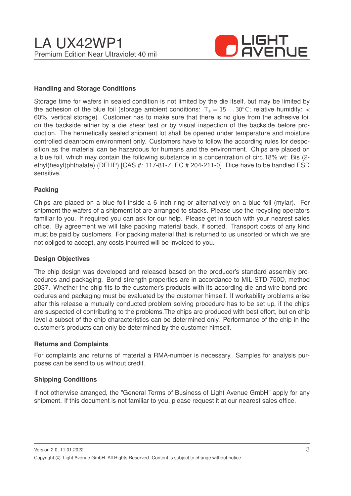

## **Handling and Storage Conditions**

Storage time for wafers in sealed condition is not limited by the die itself, but may be limited by the adhesion of the blue foil (storage ambient conditions:  $T_a = 15...30^{\circ}$ C; relative humidity: < 60%, vertical storage). Customer has to make sure that there is no glue from the adhesive foil on the backside either by a die shear test or by visual inspection of the backside before production. The hermetically sealed shipment lot shall be opened under temperature and moisture controlled cleanroom environment only. Customers have to follow the according rules for desposition as the material can be hazardous for humans and the environment. Chips are placed on a blue foil, which may contain the following substance in a concentration of circ.18% wt: Bis (2 ethyl(hexyl)phthalate) (DEHP) [CAS #: 117-81-7; EC # 204-211-0]. Dice have to be handled ESD sensitive.

#### **Packing**

Chips are placed on a blue foil inside a 6 inch ring or alternatively on a blue foil (mylar). For shipment the wafers of a shipment lot are arranged to stacks. Please use the recycling operators familiar to you. If required you can ask for our help. Please get in touch with your nearest sales office. By agreement we will take packing material back, if sorted. Transport costs of any kind must be paid by customers. For packing material that is returned to us unsorted or which we are not obliged to accept, any costs incurred will be invoiced to you.

#### **Design Objectives**

The chip design was developed and released based on the producer's standard assembly procedures and packaging. Bond strength properties are in accordance to MIL-STD-750D, method 2037. Whether the chip fits to the customer's products with its according die and wire bond procedures and packaging must be evaluated by the customer himself. If workability problems arise after this release a mutually conducted problem solving procedure has to be set up, if the chips are suspected of contributing to the problems.The chips are produced with best effort, but on chip level a subset of the chip characteristics can be determined only. Performance of the chip in the customer's products can only be determined by the customer himself.

#### **Returns and Complaints**

For complaints and returns of material a RMA-number is necessary. Samples for analysis purposes can be send to us without credit.

### **Shipping Conditions**

If not otherwise arranged, the "General Terms of Business of Light Avenue GmbH" apply for any shipment. If this document is not familiar to you, please request it at our nearest sales office.

Version 2.0, 11.01.2022 Copyright ©, Light Avenue GmbH. All Rights Reserved. Content is subject to change without notice.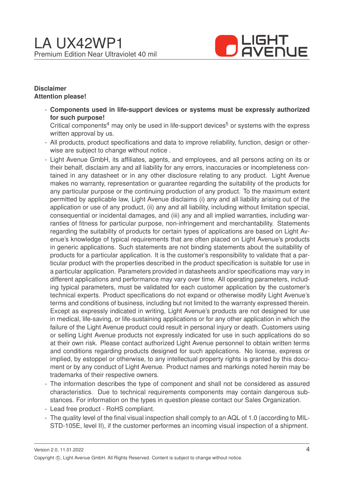

## **Disclaimer Attention please!**

- **Components used in life-support devices or systems must be expressly authorized for such purpose!**

Critical components<sup>4</sup> may only be used in life-support devices<sup>5</sup> or systems with the express written approval by us.

- All products, product specifications and data to improve reliability, function, design or otherwise are subject to change without notice .
- Light Avenue GmbH, its affiliates, agents, and employees, and all persons acting on its or their behalf, disclaim any and all liability for any errors, inaccuracies or incompleteness contained in any datasheet or in any other disclosure relating to any product. Light Avenue makes no warranty, representation or guarantee regarding the suitability of the products for any particular purpose or the continuing production of any product. To the maximum extent permitted by applicable law, Light Avenue disclaims (i) any and all liability arising out of the application or use of any product, (ii) any and all liability, including without limitation special, consequential or incidental damages, and (iii) any and all implied warranties, including warranties of fitness for particular purpose, non-infringement and merchantability. Statements regarding the suitability of products for certain types of applications are based on Light Avenue's knowledge of typical requirements that are often placed on Light Avenue's products in generic applications. Such statements are not binding statements about the suitability of products for a particular application. It is the customer's responsibility to validate that a particular product with the properties described in the product specification is suitable for use in a particular application. Parameters provided in datasheets and/or specifications may vary in different applications and performance may vary over time. All operating parameters, including typical parameters, must be validated for each customer application by the customer's technical experts. Product specifications do not expand or otherwise modify Light Avenue's terms and conditions of business, including but not limited to the warranty expressed therein. Except as expressly indicated in writing, Light Avenue's products are not designed for use in medical, life-saving, or life-sustaining applications or for any other application in which the failure of the Light Avenue product could result in personal injury or death. Customers using or selling Light Avenue products not expressly indicated for use in such applications do so at their own risk. Please contact authorized Light Avenue personnel to obtain written terms and conditions regarding products designed for such applications. No license, express or implied, by estoppel or otherwise, to any intellectual property rights is granted by this document or by any conduct of Light Avenue. Product names and markings noted herein may be trademarks of their respective owners.
- The information describes the type of component and shall not be considered as assured characteristics. Due to technical requirements components may contain dangerous substances. For information on the types in question please contact our Sales Organization.
- Lead free product RoHS compliant.
- The quality level of the final visual inspection shall comply to an AQL of 1.0 (according to MIL-STD-105E, level II), if the customer performes an incoming visual inspection of a shipment.